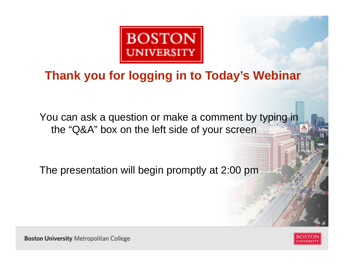

#### **Thank you for logging in to Today's Webinar**

You can ask a question or make a comment by typing in the "Q&A" box on the left side of your screen

The presentation will begin promptly at 2:00 pm

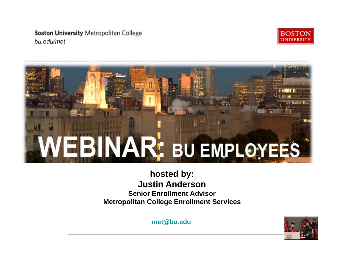**Boston University Metropolitan College** bu.edu/met





#### **hosted by: Justin Anderson Senior Enrollment AdvisorMetropolitan College Enrollment Services**

**met@bu.edu**

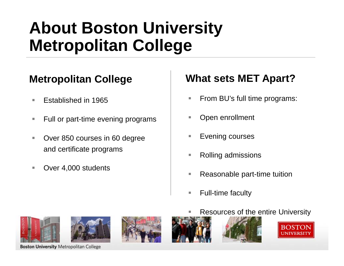## **About Boston University Metropolitan College**

#### **Metropolitan College**

- $\mathcal{C}$ Established in 1965
- $\mathcal{L}_{\mathcal{A}}$ Full or part-time evening programs
- $\mathcal{L}_{\mathcal{A}}$  Over 850 courses in 60 degree and certificate programs
- $\mathcal{C}$ Over 4,000 students

#### **What sets MET Apart?**

- From BU's full time programs:
- Open enrollment
- Evening courses
- Rolling admissions
- Reasonable part-time tuition
- $\overline{\phantom{a}}$ Full-time faculty











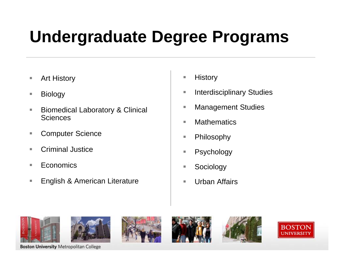# **Undergraduate Degree Programs**

- $\overline{\phantom{a}}$ Art History
- $\mathcal{L}_{\mathcal{A}}$ Biology
- $\mathbb{R}^n$  Biomedical Laboratory & Clinical **Sciences**
- $\overline{\phantom{a}}$ Computer Science
- $\mathcal{L}_{\mathcal{A}}$ Criminal Justice
- $\mathbb{R}^n$ **Economics**
- $\overline{\phantom{a}}$ English & American Literature
- $\overline{\phantom{a}}$ **History**
- n. Interdisciplinary Studies
- п Management Studies
- $\mathcal{L}_{\mathcal{A}}$ **Mathematics**
- $\mathbf{r}$ Philosophy
- T. Psychology
- n. Sociology
- n. Urban Affairs











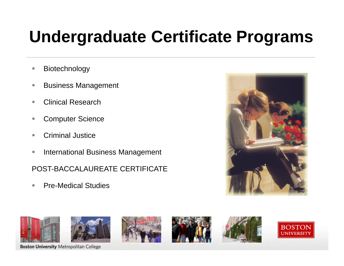# **Undergraduate Certificate Programs**

- $\mathcal{L}_{\mathcal{A}}$ Biotechnology
- T. Business Management
- m. Clinical Research
- T. Computer Science
- T. Criminal Justice
- $\mathcal{L}_{\mathcal{A}}$ International Business Management

POST-BACCALAUREATE CERTIFICATE

m. Pre-Medical Studies



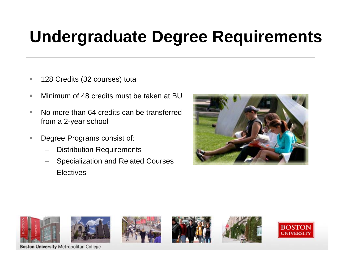## **Undergraduate Degree Requirements**

- $\overline{\phantom{a}}$ 128 Credits (32 courses) total
- $\mathbb{R}^n$ Minimum of 48 credits must be taken at BU
- $\blacksquare$  No more than 64 credits can be transferred from a 2-year school
- $\mathcal{L}_{\mathcal{A}}$  Degree Programs consist of:
	- –Distribution Requirements
	- Specialization and Related Courses
	- **Electives**













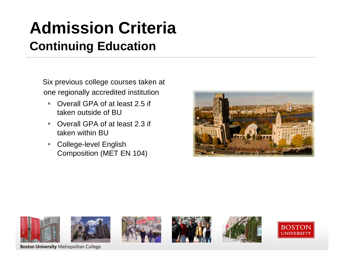## **Admission Criteria Continuing Education**

Six previous college courses taken at one regionally accredited institution

- $\blacksquare$  Overall GPA of at least 2.5 if taken outside of BU
- $\mathbf{r}$  Overall GPA of at least 2.3 if taken within BU
- $\overline{\phantom{a}}$  College-level English Composition (MET EN 104)





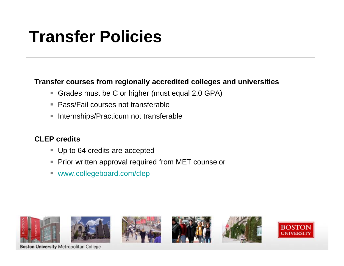# **Transfer Policies**

#### **Transfer courses from regionally accredited colleges and universities**

- Grades must be C or higher (must equal 2.0 GPA)
- Pass/Fail courses not transferable
- **Internships/Practicum not transferable**

#### **CLEP credits**

- Up to 64 credits are accepted
- Prior written approval required from MET counselor
- **WWW.collegeboard.com/clep**











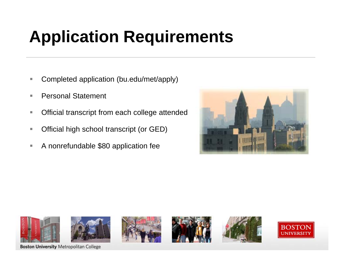# **Application Requirements**

- ٠ Completed application (bu.edu/met/apply)
- п Personal Statement
- $\mathcal{C}$ Official transcript from each college attended
- $\mathbf{u}$ Official high school transcript (or GED)
- $\mathcal{L}_{\mathcal{A}}$ A nonrefundable \$80 application fee



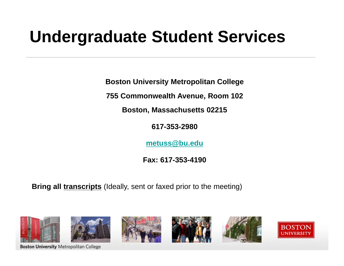## **Undergraduate Student Services**

**Boston University Metropolitan College**

**755 Commonwealth Avenue, Room 102**

**Boston, Massachusetts 02215**

**617-353-2980**

**metuss@bu.edu**

**Fax: 617-353-4190**

**Bring all transcripts** (Ideally, sent or faxed prior to the meeting)

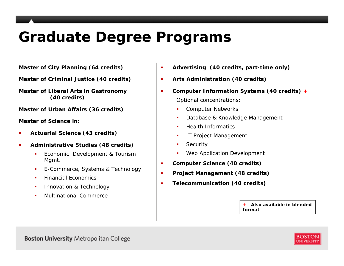### **Graduate Degree Programs**

**Master of City Planning (64 credits)**

**Master of Criminal Justice (40 credits)**

**Master of Liberal Arts in Gastronomy (40 credits)**

**Master of Urban Affairs (36 credits)**

**Master of Science in:**

- П **Actuarial Science (43 credits)**
- $\mathbf{r}$  **Administrative Studies (48 credits)**
	- Î. Economic Development & Tourism Mgmt.
	- × E-Commerce, Systems & Technology
	- $\mathbf{r}$ Financial Economics
	- х Innovation & Technology
	- ٠ Multinational Commerce
- $\blacksquare$ **Advertising (40 credits, part-time only)**
- $\blacksquare$ **Arts Administration (40 credits)**
- п **Computer Information Systems (40 credits) +**Optional concentrations:
	- ù, Computer Networks
	- П Database & Knowledge Management
	- П Health Informatics
	- П IT Project Management
	- П Security
	- ù, Web Application Development
- п **Computer Science (40 credits)**
- ×. **Project Management (48 credits)**
- $\blacksquare$ **Telecommunication (40 credits)**

**+** *Also available in blended format*

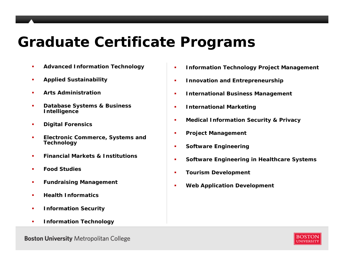#### **Graduate Certificate Programs**

- П **Advanced Information Technology**
- ×. **Applied Sustainability**
- ٠ **Arts Administration**
- $\blacksquare$  **Database Systems & Business Intelligence**
- ×. **Digital Forensics**
- $\blacksquare$  **Electronic Commerce, Systems and Technology**
- ×. **Financial Markets & Institutions**
- ш **Food Studies**
- ×. **Fundraising Management**
- П **Health Informatics**
- $\blacksquare$ **Information Security**
- $\blacksquare$ **Information Technology**
- П **Information Technology Project Management**
- a, **Innovation and Entrepreneurship**
- a, **International Business Management**
- a, **International Marketing**
- a, **Medical Information Security & Privacy**
- ×. **Project Management**
- П **Software Engineering**
- a, **Software Engineering in Healthcare Systems**
- ×. **Tourism Development**
- П **Web Application Development**

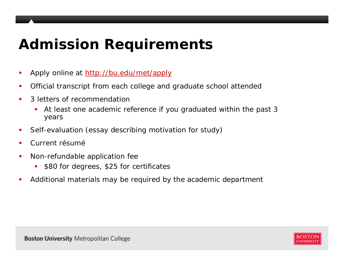## **Admission Requirements**

- П Apply online at http://bu.edu/met/apply
- П Official transcript from each college and graduate school attended
- ▉ 3 letters of recommendation
	- $\blacksquare$  At least one academic reference if you graduated within the past 3 years
- ▉ Self-evaluation (essay describing motivation for study)
- п Current résumé
- $\overline{\phantom{a}}$  Non-refundable application fee
	- $\blacksquare$ \$80 for degrees, \$25 for certificates
- $\mathcal{L}_{\mathcal{A}}$ Additional materials may be required by the academic department

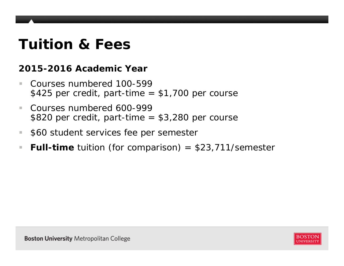### **Tuition & Fees**

#### **2015-2016 Academic Year**

- $\overline{\phantom{a}}$  Courses numbered 100-599  $$425$  per credit, part-time =  $$1,700$  per course
- $\sim$  Courses numbered 600-999\$820 per credit, part-time  $= $3,280$  per course
- m. \$60 student services fee per semester
- $\mathcal{L}_{\mathcal{A}}$ **Full-time** tuition (for comparison) = \$23,711/semester

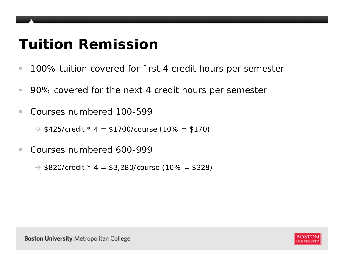### **Tuition Remission**

- $\mathcal{L}_{\mathcal{A}}$ 100% tuition covered for first 4 credit hours per semester
- $\mathcal{C}$ 90% covered for the next 4 credit hours per semester
- m. Courses numbered 100-599

 $\rightarrow$  \$425/credit \* 4 = \$1700/course (10% = \$170)

 $\mathcal{L}_{\mathcal{A}}$ Courses numbered 600-999

 $\rightarrow$  \$820/credit \* 4 = \$3,280/course (10% = \$328)

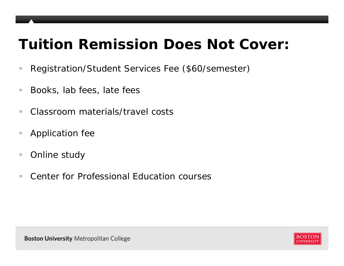### **Tuition Remission Does Not Cover:**

- $\mathcal{L}_{\mathcal{A}}$ Registration/Student Services Fee (\$60/semester)
- $\mathcal{C}$ Books, lab fees, late fees
- $\overline{\phantom{a}}$ ■ Classroom materials/travel costs
- $\mathcal{L}_{\mathcal{A}}$ Application fee
- $\overline{\phantom{a}}$ Online study
- $\mathcal{L}_{\mathcal{A}}$ Center for Professional Education courses

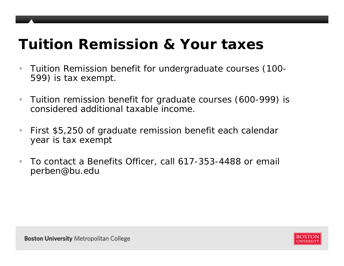### **Tuition Remission & Your taxes**

- $\mathcal{C}$  Tuition Remission benefit for undergraduate courses (100- 599) is tax exempt.
- $\mathcal{L}_{\mathcal{A}}$  Tuition remission benefit for graduate courses (600-999) is considered additional taxable income.
- $\mathcal{C}$  First \$5,250 of graduate remission benefit each calendar year is tax exempt
- $\mathcal{C}$  To contact a Benefits Officer, call 617-353-4488 or email perben@bu.edu

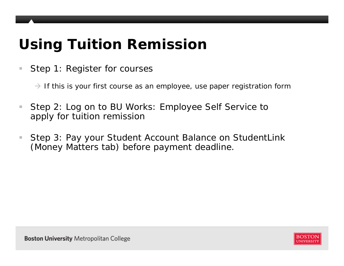## **Using Tuition Remission**

 $\mathcal{L}_{\mathcal{A}}$ Step 1: Register for courses

 $\rightarrow$  If this is your first course as an employee, use paper registration form

- $\mathcal{L}_{\mathcal{A}}$  Step 2: Log on to BU Works: Employee Self Service to apply for tuition remission
- $\mathcal{L}_{\mathcal{A}}$  Step 3: Pay your Student Account Balance on StudentLink (Money Matters tab) before payment deadline.

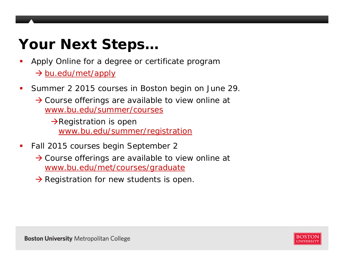## **Your Next Steps…**

- П Apply Online for a degree or certificate program → bu.edu/met/apply
- $\mathcal{L}_{\mathcal{A}}$  Summer 2 2015 courses in Boston begin on June 29.
	- $\rightarrow$  Course offerings are available to view online at www.bu.edu/summer/courses

 $\rightarrow$ Registration is open www.bu.edu/summer/registration

- $\mathcal{L}_{\mathcal{A}}$  Fall 2015 courses begin September 2
	- $\rightarrow$  Course offerings are available to view online at www.bu.edu/met/courses/graduate
	- $\rightarrow$  Registration for new students is open.